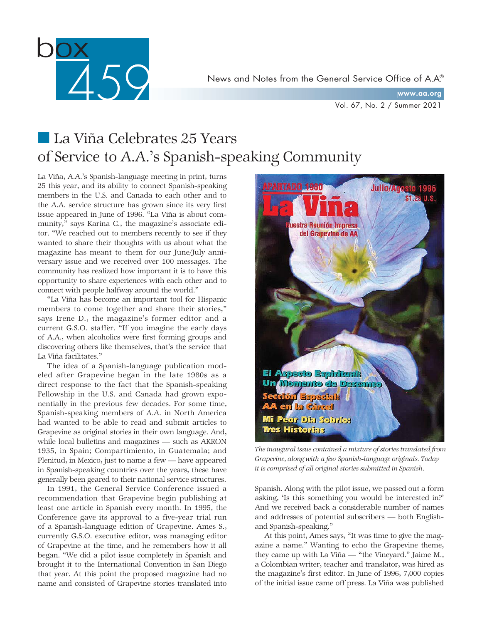

www.aa.org

Vol. 67, No. 2 / Summer 2021

# ■ La Viña Celebrates 25 Years of Service to A.A.'s Spanish-speaking Community

La Viña, A.A.'s Spanish-language meeting in print, turns 25 this year, and its ability to connect Spanish-speaking members in the U.S. and Canada to each other and to the A.A. service structure has grown since its very first issue appeared in June of 1996. "La Viña is about community," says Karina C., the magazine's associate editor. "We reached out to members recently to see if they wanted to share their thoughts with us about what the magazine has meant to them for our June/July anniversary issue and we received over 100 messages. The community has realized how important it is to have this opportunity to share experiences with each other and to connect with people halfway around the world."

"La Viña has become an important tool for Hispanic members to come together and share their stories," says Irene D., the magazine's former editor and a current G.S.O. staffer. "If you imagine the early days of A.A., when alcoholics were first forming groups and discovering others like themselves, that's the service that La Viña facilitates."

The idea of a Spanish-language publication modeled after Grapevine began in the late 1980s as a direct response to the fact that the Spanish-speaking Fellowship in the U.S. and Canada had grown exponentially in the previous few decades. For some time, Spanish-speaking members of A.A. in North America had wanted to be able to read and submit articles to Grapevine as original stories in their own language. And, while local bulletins and magazines — such as AKRON 1935, in Spain; Compartimiento, in Guatemala; and Plenitud, in Mexico, just to name a few — have appeared in Spanish-speaking countries over the years, these have generally been geared to their national service structures.

In 1991, the General Service Conference issued a recommendation that Grapevine begin publishing at least one article in Spanish every month. In 1995, the Conference gave its approval to a five-year trial run of a Spanish-language edition of Grapevine. Ames S., currently G.S.O. executive editor, was managing editor of Grapevine at the time, and he remembers how it all began. "We did a pilot issue completely in Spanish and brought it to the International Convention in San Diego that year. At this point the proposed magazine had no name and consisted of Grapevine stories translated into



*The inaugural issue contained a mixture of stories translated from Grapevine, along with a few Spanish-language originals. Today it is comprised of all original stories submitted in Spanish.*

Spanish. Along with the pilot issue, we passed out a form asking, 'Is this something you would be interested in?' And we received back a considerable number of names and addresses of potential subscribers — both Englishand Spanish-speaking."

At this point, Ames says, "It was time to give the magazine a name." Wanting to echo the Grapevine theme, they came up with La Viña — "the Vineyard." Jaime M., a Colombian writer, teacher and translator, was hired as the magazine's first editor. In June of 1996, 7,000 copies of the initial issue came off press. La Viña was published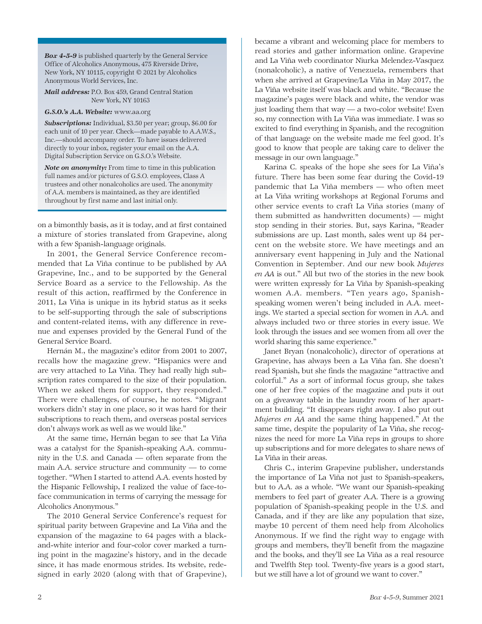*Box 4-5-9* is published quarterly by the General Service Office of Alcoholics Anonymous, 475 Riverside Drive, New York, NY 10115, copyright © 2021 by Alcoholics Anonymous World Services, Inc.

*Mail address:* P.O. Box 459, Grand Central Station New York, NY 10163

*G.S.O.'s A.A. Website:* www.aa.org

*Subscriptions:* Individual, \$3.50 per year; group, \$6.00 for each unit of 10 per year. Check—made payable to A.A.W.S., Inc.—should accompany order. To have issues delivered directly to your inbox, register your email on the A.A. Digital Subscription Service on G.S.O.'s Website.

*Note on anonymity:* From time to time in this publication full names and/or pictures of G.S.O. employees, Class A trustees and other nonalcoholics are used. The anonymity of A.A. members is maintained, as they are identified throughout by first name and last initial only.

on a bimonthly basis, as it is today, and at first contained a mixture of stories translated from Grapevine, along with a few Spanish-language originals.

In 2001, the General Service Conference recommended that La Viña continue to be published by AA Grapevine, Inc., and to be supported by the General Service Board as a service to the Fellowship. As the result of this action, reaffirmed by the Conference in 2011, La Viña is unique in its hybrid status as it seeks to be self-supporting through the sale of subscriptions and content-related items, with any difference in revenue and expenses provided by the General Fund of the General Service Board.

Hernán M., the magazine's editor from 2001 to 2007, recalls how the magazine grew. "Hispanics were and are very attached to La Viña. They had really high subscription rates compared to the size of their population. When we asked them for support, they responded." There were challenges, of course, he notes. "Migrant workers didn't stay in one place, so it was hard for their subscriptions to reach them, and overseas postal services don't always work as well as we would like."

At the same time, Hernán began to see that La Viña was a catalyst for the Spanish-speaking A.A. community in the U.S. and Canada — often separate from the main A.A. service structure and community — to come together. "When I started to attend A.A. events hosted by the Hispanic Fellowship, I realized the value of face-toface communication in terms of carrying the message for Alcoholics Anonymous."

The 2010 General Service Conference's request for spiritual parity between Grapevine and La Viña and the expansion of the magazine to 64 pages with a blackand-white interior and four-color cover marked a turning point in the magazine's history, and in the decade since, it has made enormous strides. Its website, redesigned in early 2020 (along with that of Grapevine),

became a vibrant and welcoming place for members to read stories and gather information online. Grapevine and La Viña web coordinator Niurka Melendez-Vasquez (nonalcoholic), a native of Venezuela, remembers that when she arrived at Grapevine/La Viña in May 2017, the La Viña website itself was black and white. "Because the magazine's pages were black and white, the vendor was just loading them that way — a two-color website! Even so, my connection with La Viña was immediate. I was so excited to find everything in Spanish, and the recognition of that language on the website made me feel good. It's good to know that people are taking care to deliver the message in our own language."

Karina C. speaks of the hope she sees for La Viña's future. There has been some fear during the Covid-19 pandemic that La Viña members — who often meet at La Viña writing workshops at Regional Forums and other service events to craft La Viña stories (many of them submitted as handwritten documents) — might stop sending in their stories. But, says Karina, "Reader submissions are up. Last month, sales went up 84 percent on the website store. We have meetings and an anniversary event happening in July and the National Convention in September. And our new book *Mujeres en AA* is out." All but two of the stories in the new book were written expressly for La Viña by Spanish-speaking women A.A. members. "Ten years ago, Spanishspeaking women weren't being included in A.A. meetings. We started a special section for women in A.A. and always included two or three stories in every issue. We look through the issues and see women from all over the world sharing this same experience."

Janet Bryan (nonalcoholic), director of operations at Grapevine, has always been a La Viña fan. She doesn't read Spanish, but she finds the magazine "attractive and colorful." As a sort of informal focus group, she takes one of her free copies of the magazine and puts it out on a giveaway table in the laundry room of her apartment building. "It disappears right away. I also put out *Mujeres en AA* and the same thing happened." At the same time, despite the popularity of La Viña, she recognizes the need for more La Viña reps in groups to shore up subscriptions and for more delegates to share news of La Viña in their areas.

Chris C., interim Grapevine publisher, understands the importance of La Viña not just to Spanish-speakers, but to A.A. as a whole. "We want our Spanish-speaking members to feel part of greater A.A. There is a growing population of Spanish-speaking people in the U.S. and Canada, and if they are like any population that size, maybe 10 percent of them need help from Alcoholics Anonymous. If we find the right way to engage with groups and members, they'll benefit from the magazine and the books, and they'll see La Viña as a real resource and Twelfth Step tool. Twenty-five years is a good start, but we still have a lot of ground we want to cover."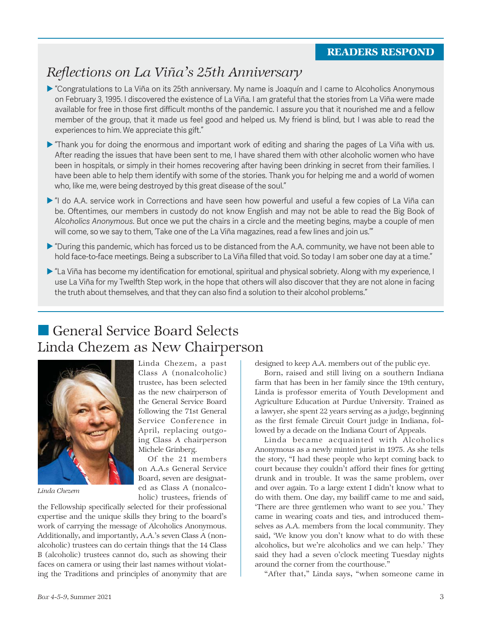## *Reflections on La Viña's 25th Anniversary*

- **E** "Congratulations to La Viña on its 25th anniversary. My name is Joaquín and I came to Alcoholics Anonymous on February 3, 1995. I discovered the existence of La Viña. I am grateful that the stories from La Viña were made available for free in those first difficult months of the pandemic. I assure you that it nourished me and a fellow member of the group, that it made us feel good and helped us. My friend is blind, but I was able to read the experiences to him. We appreciate this gift."
- **Thank you for doing the enormous and important work of editing and sharing the pages of La Viña with us.** After reading the issues that have been sent to me, I have shared them with other alcoholic women who have been in hospitals, or simply in their homes recovering after having been drinking in secret from their families. I have been able to help them identify with some of the stories. Thank you for helping me and a world of women who, like me, were being destroyed by this great disease of the soul."
- ▶ "I do A.A. service work in Corrections and have seen how powerful and useful a few copies of La Viña can be. Oftentimes, our members in custody do not know English and may not be able to read the Big Book of *Alcoholics Anonymous*. But once we put the chairs in a circle and the meeting begins, maybe a couple of men will come, so we say to them, 'Take one of the La Viña magazines, read a few lines and join us.'"
- "During this pandemic, which has forced us to be distanced from the A.A. community, we have not been able to hold face-to-face meetings. Being a subscriber to La Viña filled that void. So today I am sober one day at a time."
- "La Viña has become my identification for emotional, spiritual and physical sobriety. Along with my experience, I use La Viña for my Twelfth Step work, in the hope that others will also discover that they are not alone in facing the truth about themselves, and that they can also find a solution to their alcohol problems."

# ■ General Service Board Selects Linda Chezem as New Chairperson



*Linda Chezem*

Linda Chezem, a past Class A (nonalcoholic) trustee, has been selected as the new chairperson of the General Service Board following the 71st General Service Conference in April, replacing outgoing Class A chairperson Michele Grinberg.

Of the 21 members on A.A.s General Service Board, seven are designated as Class A (nonalcoholic) trustees, friends of

the Fellowship specifically selected for their professional expertise and the unique skills they bring to the board's work of carrying the message of Alcoholics Anonymous. Additionally, and importantly, A.A.'s seven Class A (nonalcoholic) trustees can do certain things that the 14 Class B (alcoholic) trustees cannot do, such as showing their faces on camera or using their last names without violating the Traditions and principles of anonymity that are designed to keep A.A. members out of the public eye.

Born, raised and still living on a southern Indiana farm that has been in her family since the 19th century, Linda is professor emerita of Youth Development and Agriculture Education at Purdue University. Trained as a lawyer, she spent 22 years serving as a judge, beginning as the first female Circuit Court judge in Indiana, followed by a decade on the Indiana Court of Appeals.

Linda became acquainted with Alcoholics Anonymous as a newly minted jurist in 1975. As she tells the story, "I had these people who kept coming back to court because they couldn't afford their fines for getting drunk and in trouble. It was the same problem, over and over again. To a large extent I didn't know what to do with them. One day, my bailiff came to me and said, 'There are three gentlemen who want to see you.' They came in wearing coats and ties, and introduced themselves as A.A. members from the local community. They said, 'We know you don't know what to do with these alcoholics, but we're alcoholics and we can help.' They said they had a seven o'clock meeting Tuesday nights around the corner from the courthouse."

"After that," Linda says, "when someone came in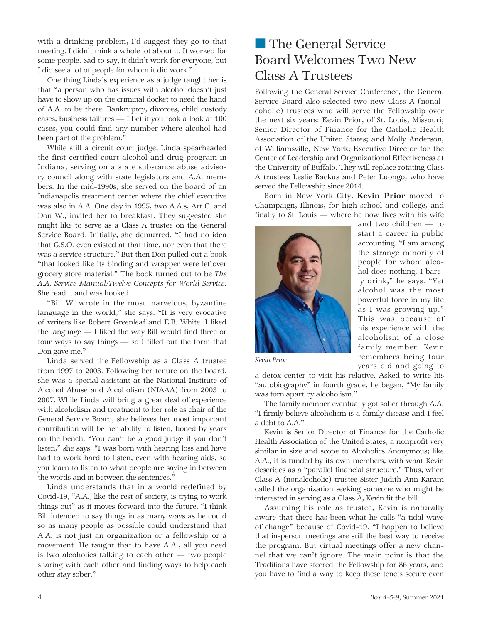with a drinking problem, I'd suggest they go to that meeting. I didn't think a whole lot about it. It worked for some people. Sad to say, it didn't work for everyone, but I did see a lot of people for whom it did work."

One thing Linda's experience as a judge taught her is that "a person who has issues with alcohol doesn't just have to show up on the criminal docket to need the hand of A.A. to be there. Bankruptcy, divorces, child custody cases, business failures — I bet if you took a look at 100 cases, you could find any number where alcohol had been part of the problem."

While still a circuit court judge, Linda spearheaded the first certified court alcohol and drug program in Indiana, serving on a state substance abuse advisory council along with state legislators and A.A. members. In the mid-1990s, she served on the board of an Indianapolis treatment center where the chief executive was also in A.A. One day in 1995, two A.A.s, Art C. and Don W., invited her to breakfast. They suggested she might like to serve as a Class A trustee on the General Service Board. Initially, she demurred. "I had no idea that G.S.O. even existed at that time, nor even that there was a service structure." But then Don pulled out a book "that looked like its binding and wrapper were leftover grocery store material." The book turned out to be *The A.A. Service Manual*/*Twelve Concepts for World Service.* She read it and was hooked.

"Bill W. wrote in the most marvelous, byzantine language in the world," she says. "It is very evocative of writers like Robert Greenleaf and E.B. White. I liked the language — I liked the way Bill would find three or four ways to say things — so I filled out the form that Don gave me."

Linda served the Fellowship as a Class A trustee from 1997 to 2003. Following her tenure on the board, she was a special assistant at the National Institute of Alcohol Abuse and Alcoholism (NIAAA) from 2003 to 2007. While Linda will bring a great deal of experience with alcoholism and treatment to her role as chair of the General Service Board, she believes her most important contribution will be her ability to listen, honed by years on the bench. "You can't be a good judge if you don't listen," she says. "I was born with hearing loss and have had to work hard to listen, even with hearing aids, so you learn to listen to what people are saying in between the words and in between the sentences."

Linda understands that in a world redefined by Covid-19, "A.A., like the rest of society, is trying to work things out" as it moves forward into the future. "I think Bill intended to say things in as many ways as he could so as many people as possible could understand that A.A. is not just an organization or a fellowship or a movement. He taught that to have A.A., all you need is two alcoholics talking to each other — two people sharing with each other and finding ways to help each other stay sober."

## ■ The General Service Board Welcomes Two New Class A Trustees

Following the General Service Conference, the General Service Board also selected two new Class A (nonalcoholic) trustees who will serve the Fellowship over the next six years: Kevin Prior, of St. Louis, Missouri; Senior Director of Finance for the Catholic Health Association of the United States; and Molly Anderson, of Williamsville, New York; Executive Director for the Center of Leadership and Organizational Effectiveness at the University of Buffalo. They will replace rotating Class A trustees Leslie Backus and Peter Luongo, who have served the Fellowship since 2014.

Born in New York City, Kevin Prior moved to Champaign, Illinois, for high school and college, and finally to St. Louis — where he now lives with his wife



and two children — to start a career in public accounting. "I am among the strange minority of people for whom alcohol does nothing. I barely drink," he says. "Yet alcohol was the most powerful force in my life as I was growing up." This was because of his experience with the alcoholism of a close family member. Kevin remembers being four years old and going to

*Kevin Prior*

a detox center to visit his relative. Asked to write his "autobiography" in fourth grade, he began, "My family was torn apart by alcoholism."

The family member eventually got sober through A.A. "I firmly believe alcoholism is a family disease and I feel a debt to A.A."

Kevin is Senior Director of Finance for the Catholic Health Association of the United States, a nonprofit very similar in size and scope to Alcoholics Anonymous; like A.A., it is funded by its own members, with what Kevin describes as a "parallel financial structure." Thus, when Class A (nonalcoholic) trustee Sister Judith Ann Karam called the organization seeking someone who might be interested in serving as a Class A, Kevin fit the bill.

Assuming his role as trustee, Kevin is naturally aware that there has been what he calls "a tidal wave of change" because of Covid-19. "I happen to believe that in-person meetings are still the best way to receive the program. But virtual meetings offer a new channel that we can't ignore. The main point is that the Traditions have steered the Fellowship for 86 years, and you have to find a way to keep these tenets secure even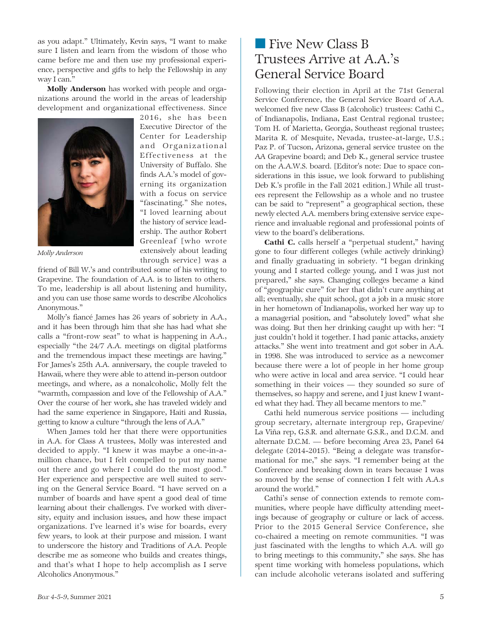as you adapt." Ultimately, Kevin says, "I want to make sure I listen and learn from the wisdom of those who came before me and then use my professional experience, perspective and gifts to help the Fellowship in any way I can."

Molly Anderson has worked with people and organizations around the world in the areas of leadership development and organizational effectiveness. Since

> 2016, she has been Executive Director of the Center for Leadership and Organizational Effectiveness at the University of Buffalo. She finds A.A.'s model of governing its organization with a focus on service "fascinating." She notes, "I loved learning about the history of service leadership. The author Robert Greenleaf [who wrote extensively about leading



*Molly Anderson*

through service] was a friend of Bill W.'s and contributed some of his writing to Grapevine. The foundation of A.A. is to listen to others. To me, leadership is all about listening and humility, and you can use those same words to describe Alcoholics Anonymous."

Molly's fiancé James has 26 years of sobriety in A.A., and it has been through him that she has had what she calls a "front-row seat" to what is happening in A.A., especially "the 24/7 A.A. meetings on digital platforms and the tremendous impact these meetings are having." For James's 25th A.A. anniversary, the couple traveled to Hawaii, where they were able to attend in-person outdoor meetings, and where, as a nonalcoholic, Molly felt the "warmth, compassion and love of the Fellowship of A.A." Over the course of her work, she has traveled widely and had the same experience in Singapore, Haiti and Russia, getting to know a culture "through the lens of A.A."

When James told her that there were opportunities in A.A. for Class A trustees, Molly was interested and decided to apply. "I knew it was maybe a one-in-amillion chance, but I felt compelled to put my name out there and go where I could do the most good." Her experience and perspective are well suited to serving on the General Service Board. "I have served on a number of boards and have spent a good deal of time learning about their challenges. I've worked with diversity, equity and inclusion issues, and how these impact organizations. I've learned it's wise for boards, every few years, to look at their purpose and mission. I want to underscore the history and Traditions of A.A. People describe me as someone who builds and creates things, and that's what I hope to help accomplish as I serve Alcoholics Anonymous."

## ■ Five New Class B Trustees Arrive at A.A.'s General Service Board

Following their election in April at the 71st General Service Conference, the General Service Board of A.A. welcomed five new Class B (alcoholic) trustees: Cathi C., of Indianapolis, Indiana, East Central regional trustee; Tom H. of Marietta, Georgia, Southeast regional trustee; Marita R. of Mesquite, Nevada, trustee-at-large, U.S.; Paz P. of Tucson, Arizona, general service trustee on the AA Grapevine board; and Deb K., general service trustee on the A.A.W.S. board. [Editor's note: Due to space considerations in this issue, we look forward to publishing Deb K.'s profile in the Fall 2021 edition.] While all trustees represent the Fellowship as a whole and no trustee can be said to "represent" a geographical section, these newly elected A.A. members bring extensive service experience and invaluable regional and professional points of view to the board's deliberations.

Cathi C. calls herself a "perpetual student," having gone to four different colleges (while actively drinking) and finally graduating in sobriety. "I began drinking young and I started college young, and I was just not prepared," she says. Changing colleges became a kind of "geographic cure" for her that didn't cure anything at all; eventually, she quit school, got a job in a music store in her hometown of Indianapolis, worked her way up to a managerial position, and "absolutely loved" what she was doing. But then her drinking caught up with her: "I just couldn't hold it together. I had panic attacks, anxiety attacks." She went into treatment and got sober in A.A. in 1998. She was introduced to service as a newcomer because there were a lot of people in her home group who were active in local and area service. "I could hear something in their voices — they sounded so sure of themselves, so happy and serene, and I just knew I wanted what they had. They all became mentors to me."

Cathi held numerous service positions — including group secretary, alternate intergroup rep, Grapevine/ La Viña rep, G.S.R. and alternate G.S.R., and D.C.M. and alternate D.C.M. — before becoming Area 23, Panel 64 delegate (2014-2015). "Being a delegate was transformational for me," she says. "I remember being at the Conference and breaking down in tears because I was so moved by the sense of connection I felt with A.A.s around the world."

Cathi's sense of connection extends to remote communities, where people have difficulty attending meetings because of geography or culture or lack of access. Prior to the 2015 General Service Conference, she co-chaired a meeting on remote communities. "I was just fascinated with the lengths to which A.A. will go to bring meetings to this community," she says. She has spent time working with homeless populations, which can include alcoholic veterans isolated and suffering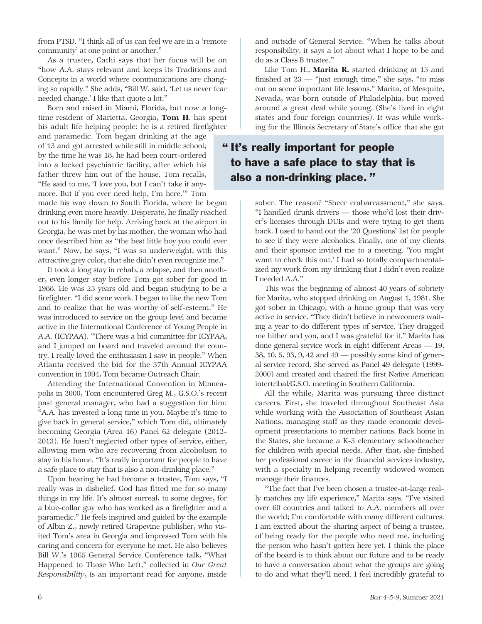from PTSD. "I think all of us can feel we are in a 'remote community' at one point or another."

As a trustee, Cathi says that her focus will be on "how A.A. stays relevant and keeps its Traditions and Concepts in a world where communications are changing so rapidly." She adds, "Bill W. said, 'Let us never fear needed change.' I like that quote a lot."

Born and raised in Miami, Florida, but now a longtime resident of Marietta, Georgia, Tom H. has spent his adult life helping people: he is a retired firefighter

and paramedic. Tom began drinking at the age of 13 and got arrested while still in middle school; by the time he was 18, he had been court-ordered into a locked psychiatric facility, after which his father threw him out of the house. Tom recalls, "He said to me, 'I love you, but I can't take it anymore. But if you ever need help, I'm here.'" Tom

made his way down to South Florida, where he began drinking even more heavily. Desperate, he finally reached out to his family for help. Arriving back at the airport in Georgia, he was met by his mother, the woman who had once described him as "the best little boy you could ever want." Now, he says, "I was so underweight, with this attractive grey color, that she didn't even recognize me."

It took a long stay in rehab, a relapse, and then another, even longer stay before Tom got sober for good in 1988. He was 23 years old and began studying to be a firefighter. "I did some work. I began to like the new Tom and to realize that he was worthy of self-esteem." He was introduced to service on the group level and became active in the International Conference of Young People in A.A. (ICYPAA). "There was a bid committee for ICYPAA, and I jumped on board and traveled around the country. I really loved the enthusiasm I saw in people." When Atlanta received the bid for the 37th Annual ICYPAA convention in 1994, Tom became Outreach Chair.

Attending the International Convention in Minneapolis in 2000, Tom encountered Greg M., G.S.O.'s recent past general manager, who had a suggestion for him: "A.A. has invested a long time in you. Maybe it's time to give back in general service," which Tom did, ultimately becoming Georgia (Area 16) Panel 62 delegate (2012- 2013). He hasn't neglected other types of service, either, allowing men who are recovering from alcoholism to stay in his home. "It's really important for people to have a safe place to stay that is also a non-drinking place."

Upon hearing he had become a trustee, Tom says, "I really was in disbelief. God has fitted me for so many things in my life. It's almost surreal, to some degree, for a blue-collar guy who has worked as a firefighter and a paramedic." He feels inspired and guided by the example of Albin Z., newly retired Grapevine publisher, who visited Tom's area in Georgia and impressed Tom with his caring and concern for everyone he met. He also believes Bill W.'s 1965 General Service Conference talk, "What Happened to Those Who Left," collected in *Our Great Responsibility*, is an important read for anyone, inside

and outside of General Service. "When he talks about responsibility, it says a lot about what I hope to be and do as a Class B trustee."

Like Tom H., **Marita R.** started drinking at 13 and finished at  $23$  — "just enough time," she says, "to miss out on some important life lessons." Marita, of Mesquite, Nevada, was born outside of Philadelphia, but moved around a great deal while young. (She's lived in eight states and four foreign countries). It was while working for the Illinois Secretary of State's office that she got

### " It's really important for people to have a safe place to stay that is also a non-drinking place. "

sober. The reason? "Sheer embarrassment," she says. "I handled drunk drivers — those who'd lost their driver's licenses through DUIs and were trying to get them back. I used to hand out the '20 Questions' list for people to see if they were alcoholics. Finally, one of my clients and their sponsor invited me to a meeting. 'You might want to check this out.' I had so totally compartmentalized my work from my drinking that I didn't even realize I needed A.A."

This was the beginning of almost 40 years of sobriety for Marita, who stopped drinking on August 1, 1981. She got sober in Chicago, with a home group that was very active in service. "They didn't believe in newcomers waiting a year to do different types of service. They dragged me hither and yon, and I was grateful for it." Marita has done general service work in eight different Areas — 19, 38, 10, 5, 93, 9, 42 and 49 — possibly some kind of general service record. She served as Panel 49 delegate (1999- 2000) and created and chaired the first Native American intertribal/G.S.O. meeting in Southern California.

All the while, Marita was pursuing three distinct careers. First, she traveled throughout Southeast Asia while working with the Association of Southeast Asian Nations, managing staff as they made economic development presentations to member nations. Back home in the States, she became a K-3 elementary schoolteacher for children with special needs. After that, she finished her professional career in the financial services industry, with a specialty in helping recently widowed women manage their finances.

"The fact that I've been chosen a trustee-at-large really matches my life experience," Marita says. "I've visited over 60 countries and talked to A.A. members all over the world; I'm comfortable with many different cultures. I am excited about the sharing aspect of being a trustee, of being ready for the people who need me, including the person who hasn't gotten here yet. I think the place of the board is to think about our future and to be ready to have a conversation about what the groups are going to do and what they'll need. I feel incredibly grateful to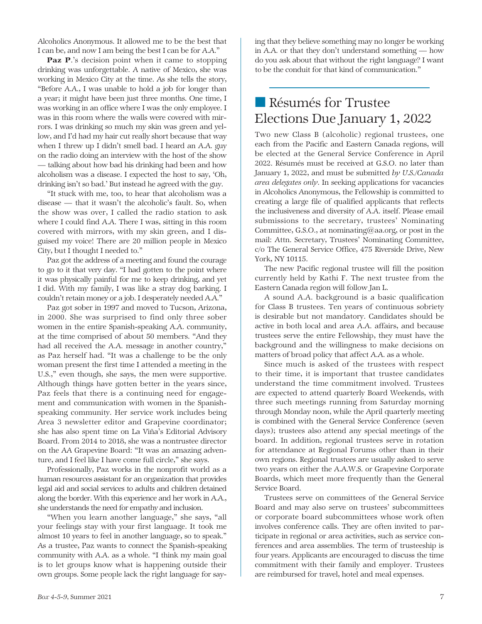Alcoholics Anonymous. It allowed me to be the best that I can be, and now I am being the best I can be for A.A."

Paz P.'s decision point when it came to stopping drinking was unforgettable. A native of Mexico, she was working in Mexico City at the time. As she tells the story, "Before A.A., I was unable to hold a job for longer than a year; it might have been just three months. One time, I was working in an office where I was the only employee. I was in this room where the walls were covered with mirrors. I was drinking so much my skin was green and yellow, and I'd had my hair cut really short because that way when I threw up I didn't smell bad. I heard an A.A. guy on the radio doing an interview with the host of the show — talking about how bad his drinking had been and how alcoholism was a disease. I expected the host to say, 'Oh, drinking isn't so bad.' But instead he agreed with the guy.

"It stuck with me, too, to hear that alcoholism was a disease — that it wasn't the alcoholic's fault. So, when the show was over, I called the radio station to ask where I could find A.A. There I was, sitting in this room covered with mirrors, with my skin green, and I disguised my voice! There are 20 million people in Mexico City, but I thought I needed to."

Paz got the address of a meeting and found the courage to go to it that very day. "I had gotten to the point where it was physically painful for me to keep drinking, and yet I did. With my family, I was like a stray dog barking. I couldn't retain money or a job. I desperately needed A.A."

Paz got sober in 1997 and moved to Tucson, Arizona, in 2000. She was surprised to find only three sober women in the entire Spanish-speaking A.A. community, at the time comprised of about 50 members. "And they had all received the A.A. message in another country," as Paz herself had. "It was a challenge to be the only woman present the first time I attended a meeting in the U.S.," even though, she says, the men were supportive. Although things have gotten better in the years since, Paz feels that there is a continuing need for engagement and communication with women in the Spanishspeaking community. Her service work includes being Area 3 newsletter editor and Grapevine coordinator; she has also spent time on La Viña's Editorial Advisory Board. From 2014 to 2018, she was a nontrustee director on the AA Grapevine Board: "It was an amazing adventure, and I feel like I have come full circle," she says.

Professionally, Paz works in the nonprofit world as a human resources assistant for an organization that provides legal aid and social services to adults and children detained along the border. With this experience and her work in A.A., she understands the need for empathy and inclusion.

"When you learn another language," she says, "all your feelings stay with your first language. It took me almost 10 years to feel in another language, so to speak." As a trustee, Paz wants to connect the Spanish-speaking community with A.A. as a whole. "I think my main goal is to let groups know what is happening outside their own groups. Some people lack the right language for saying that they believe something may no longer be working in A.A. or that they don't understand something — how do you ask about that without the right language? I want to be the conduit for that kind of communication."

# ■ Résumés for Trustee Elections Due January 1, 2022

Two new Class B (alcoholic) regional trustees, one each from the Pacific and Eastern Canada regions, will be elected at the General Service Conference in April 2022. Résumés must be received at G.S.O. no later than January 1, 2022, and must be submitted *by U.S./Canada area delegates only*. In seeking applications for vacancies in Alcoholics Anonymous, the Fellowship is committed to creating a large file of qualified applicants that reflects the inclusiveness and diversity of A.A. itself. Please email submissions to the secretary, trustees' Nominating Committee, G.S.O., at nominating@aa.org, or post in the mail: Attn. Secretary, Trustees' Nominating Committee, c/o The General Service Office, 475 Riverside Drive, New York, NY 10115.

The new Pacific regional trustee will fill the position currently held by Kathi F. The next trustee from the Eastern Canada region will follow Jan L.

A sound A.A. background is a basic qualification for Class B trustees. Ten years of continuous sobriety is desirable but not mandatory. Candidates should be active in both local and area A.A. affairs, and because trustees serve the entire Fellowship, they must have the background and the willingness to make decisions on matters of broad policy that affect A.A. as a whole.

Since much is asked of the trustees with respect to their time, it is important that trustee candidates understand the time commitment involved. Trustees are expected to attend quarterly Board Weekends, with three such meetings running from Saturday morning through Monday noon, while the April quarterly meeting is combined with the General Service Conference (seven days); trustees also attend any special meetings of the board. In addition, regional trustees serve in rotation for attendance at Regional Forums other than in their own regions. Regional trustees are usually asked to serve two years on either the A.A.W.S. or Grapevine Corporate Boards, which meet more frequently than the General Service Board.

Trustees serve on committees of the General Service Board and may also serve on trustees' subcommittees or corporate board subcommittees whose work often involves conference calls. They are often invited to participate in regional or area activities, such as service conferences and area assemblies. The term of trusteeship is four years. Applicants are encouraged to discuss the time commitment with their family and employer. Trustees are reimbursed for travel, hotel and meal expenses.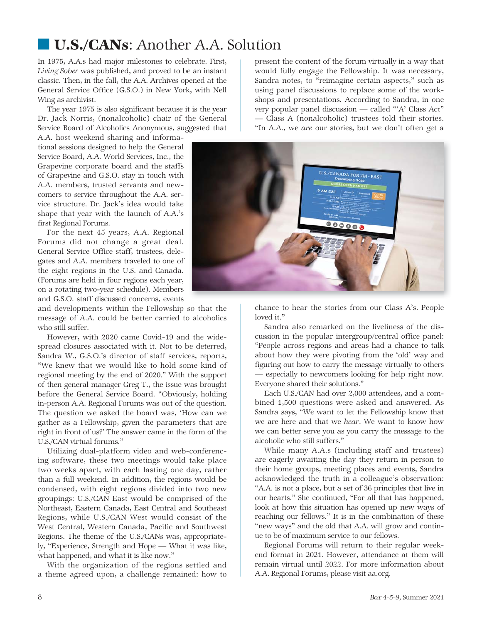# ■ U.S./CANs: Another A.A. Solution

In 1975, A.A.s had major milestones to celebrate. First, *Living Sober* was published, and proved to be an instant classic. Then, in the fall, the A.A. Archives opened at the General Service Office (G.S.O.) in New York, with Nell Wing as archivist.

The year 1975 is also significant because it is the year Dr. Jack Norris, (nonalcoholic) chair of the General Service Board of Alcoholics Anonymous, suggested that

A.A. host weekend sharing and informational sessions designed to help the General Service Board, A.A. World Services, Inc., the Grapevine corporate board and the staffs of Grapevine and G.S.O. stay in touch with A.A. members, trusted servants and newcomers to service throughout the A.A. service structure. Dr. Jack's idea would take shape that year with the launch of A.A.'s first Regional Forums.

For the next 45 years, A.A. Regional Forums did not change a great deal. General Service Office staff, trustees, delegates and A.A. members traveled to one of the eight regions in the U.S. and Canada. (Forums are held in four regions each year, on a rotating two-year schedule). Members and G.S.O. staff discussed concerns, events

and developments within the Fellowship so that the message of A.A. could be better carried to alcoholics who still suffer.

However, with 2020 came Covid-19 and the widespread closures associated with it. Not to be deterred, Sandra W., G.S.O.'s director of staff services, reports, "We knew that we would like to hold some kind of regional meeting by the end of 2020." With the support of then general manager Greg T., the issue was brought before the General Service Board. "Obviously, holding in-person A.A. Regional Forums was out of the question. The question we asked the board was, 'How can we gather as a Fellowship, given the parameters that are right in front of us?' The answer came in the form of the U.S./CAN virtual forums."

Utilizing dual-platform video and web-conferencing software, these two meetings would take place two weeks apart, with each lasting one day, rather than a full weekend. In addition, the regions would be condensed, with eight regions divided into two new groupings: U.S./CAN East would be comprised of the Northeast, Eastern Canada, East Central and Southeast Regions, while U.S./CAN West would consist of the West Central, Western Canada, Pacific and Southwest Regions. The theme of the U.S./CANs was, appropriately, "Experience, Strength and Hope — What it was like, what happened, and what it is like now."

With the organization of the regions settled and a theme agreed upon, a challenge remained: how to present the content of the forum virtually in a way that would fully engage the Fellowship. It was necessary, Sandra notes, to "reimagine certain aspects," such as using panel discussions to replace some of the workshops and presentations. According to Sandra, in one very popular panel discussion — called "'A' Class Act" — Class A (nonalcoholic) trustees told their stories. "In A.A., we *are* our stories, but we don't often get a



chance to hear the stories from our Class A's. People loved it."

Sandra also remarked on the liveliness of the discussion in the popular intergroup/central office panel: "People across regions and areas had a chance to talk about how they were pivoting from the 'old' way and figuring out how to carry the message virtually to others — especially to newcomers looking for help right now. Everyone shared their solutions."

Each U.S./CAN had over 2,000 attendees, and a combined 1,500 questions were asked and answered. As Sandra says, "We want to let the Fellowship know that we are here and that we *hear*. We want to know how we can better serve you as you carry the message to the alcoholic who still suffers."

While many A.A.s (including staff and trustees) are eagerly awaiting the day they return in person to their home groups, meeting places and events, Sandra acknowledged the truth in a colleague's observation: "A.A. is not a place, but a set of 36 principles that live in our hearts." She continued, "For all that has happened, look at how this situation has opened up new ways of reaching our fellows." It is in the combination of these "new ways" and the old that A.A. will grow and continue to be of maximum service to our fellows.

Regional Forums will return to their regular weekend format in 2021. However, attendance at them will remain virtual until 2022. For more information about A.A. Regional Forums, please visit aa.org.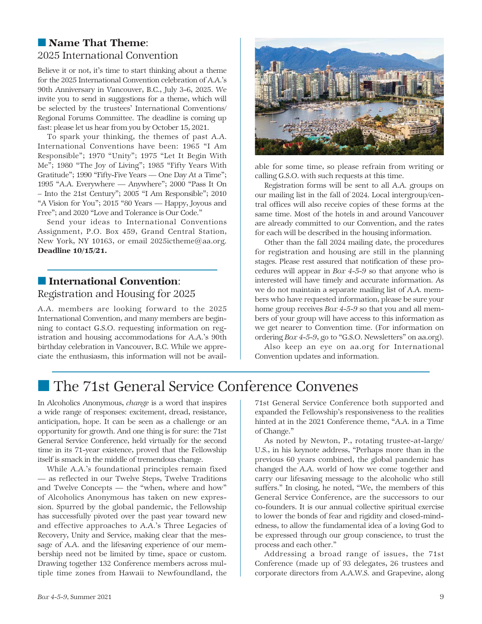### ■ Name That Theme: 2025 International Convention

Believe it or not, it's time to start thinking about a theme for the 2025 International Convention celebration of A.A.'s 90th Anniversary in Vancouver, B.C., July 3-6, 2025. We invite you to send in suggestions for a theme, which will be selected by the trustees' International Conventions/ Regional Forums Committee. The deadline is coming up fast: please let us hear from you by October 15, 2021.

To spark your thinking, the themes of past A.A. International Conventions have been: 1965 "I Am Responsible"; 1970 "Unity"; 1975 "Let It Begin With Me"; 1980 "The Joy of Living"; 1985 "Fifty Years With Gratitude"; 1990 "Fifty-Five Years — One Day At a Time"; 1995 "A.A. Everywhere — Anywhere"; 2000 "Pass It On – Into the 21st Century"; 2005 "I Am Responsible"; 2010 "A Vision for You"; 2015 "80 Years — Happy, Joyous and Free"; and 2020 "Love and Tolerance is Our Code."

Send your ideas to International Conventions Assignment, P.O. Box 459, Grand Central Station, New York, NY 10163, or email 2025ictheme@aa.org. Deadline 10/15/21.

### ■ International Convention: Registration and Housing for 2025

A.A. members are looking forward to the 2025 International Convention, and many members are beginning to contact G.S.O. requesting information on registration and housing accommodations for A.A.'s 90th birthday celebration in Vancouver, B.C. While we appreciate the enthusiasm, this information will not be avail-



able for some time, so please refrain from writing or calling G.S.O. with such requests at this time.

Registration forms will be sent to all A.A. groups on our mailing list in the fall of 2024. Local intergroup/central offices will also receive copies of these forms at the same time. Most of the hotels in and around Vancouver are already committed to our Convention, and the rates for each will be described in the housing information.

Other than the fall 2024 mailing date, the procedures for registration and housing are still in the planning stages. Please rest assured that notification of these procedures will appear in *Box 4-5-9* so that anyone who is interested will have timely and accurate information. As we do not maintain a separate mailing list of A.A. members who have requested information, please be sure your home group receives *Box 4-5-9* so that you and all members of your group will have access to this information as we get nearer to Convention time. (For information on ordering *Box 4-5-9*, go to "G.S.O. Newsletters" on aa.org).

Also keep an eye on aa.org for International Convention updates and information.

# ■ The 71st General Service Conference Convenes

In Alcoholics Anonymous, *change* is a word that inspires a wide range of responses: excitement, dread, resistance, anticipation, hope. It can be seen as a challenge or an opportunity for growth. And one thing is for sure: the 71st General Service Conference, held virtually for the second time in its 71-year existence, proved that the Fellowship itself is smack in the middle of tremendous change.

While A.A.'s foundational principles remain fixed — as reflected in our Twelve Steps, Twelve Traditions and Twelve Concepts — the "when, where and how" of Alcoholics Anonymous has taken on new expression. Spurred by the global pandemic, the Fellowship has successfully pivoted over the past year toward new and effective approaches to A.A.'s Three Legacies of Recovery, Unity and Service, making clear that the message of A.A. and the lifesaving experience of our membership need not be limited by time, space or custom. Drawing together 132 Conference members across multiple time zones from Hawaii to Newfoundland, the 71st General Service Conference both supported and expanded the Fellowship's responsiveness to the realities hinted at in the 2021 Conference theme, "A.A. in a Time of Change."

As noted by Newton, P., rotating trustee-at-large/ U.S., in his keynote address, "Perhaps more than in the previous 60 years combined, the global pandemic has changed the A.A. world of how we come together and carry our lifesaving message to the alcoholic who still suffers." In closing, he noted, "We, the members of this General Service Conference, are the successors to our co-founders. It is our annual collective spiritual exercise to lower the bonds of fear and rigidity and closed-mindedness, to allow the fundamental idea of a loving God to be expressed through our group conscience, to trust the process and each other."

Addressing a broad range of issues, the 71st Conference (made up of 93 delegates, 26 trustees and corporate directors from A.A.W.S. and Grapevine, along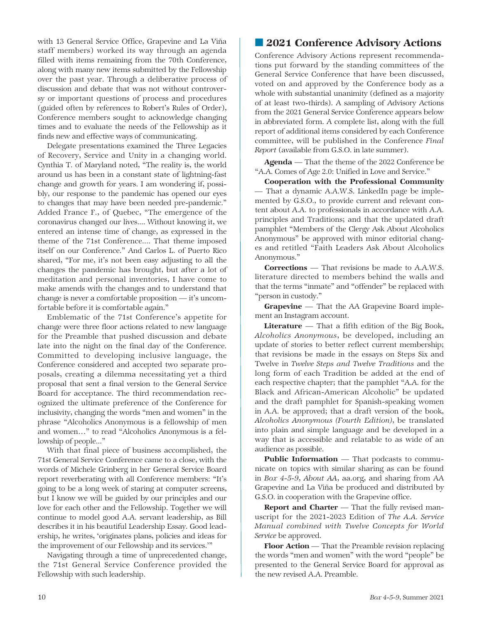with 13 General Service Office, Grapevine and La Viña staff members) worked its way through an agenda filled with items remaining from the 70th Conference, along with many new items submitted by the Fellowship over the past year. Through a deliberative process of discussion and debate that was not without controversy or important questions of process and procedures (guided often by references to Robert's Rules of Order), Conference members sought to acknowledge changing times and to evaluate the needs of the Fellowship as it finds new and effective ways of communicating.

Delegate presentations examined the Three Legacies of Recovery, Service and Unity in a changing world. Cynthia T. of Maryland noted, "The reality is, the world around us has been in a constant state of lightning-fast change and growth for years. I am wondering if, possibly, our response to the pandemic has opened our eyes to changes that may have been needed pre-pandemic." Added France F., of Quebec, "The emergence of the coronavirus changed our lives.... Without knowing it, we entered an intense time of change, as expressed in the theme of the 71st Conference.... That theme imposed itself on our Conference." And Carlos L. of Puerto Rico shared, "For me, it's not been easy adjusting to all the changes the pandemic has brought, but after a lot of meditation and personal inventories, I have come to make amends with the changes and to understand that change is never a comfortable proposition — it's uncomfortable before it is comfortable again."

Emblematic of the 71st Conference's appetite for change were three floor actions related to new language for the Preamble that pushed discussion and debate late into the night on the final day of the Conference. Committed to developing inclusive language, the Conference considered and accepted two separate proposals, creating a dilemma necessitating yet a third proposal that sent a final version to the General Service Board for acceptance. The third recommendation recognized the ultimate preference of the Conference for inclusivity, changing the words "men and women" in the phrase "Alcoholics Anonymous is a fellowship of men and women…" to read "Alcoholics Anonymous is a fellowship of people..."

With that final piece of business accomplished, the 71st General Service Conference came to a close, with the words of Michele Grinberg in her General Service Board report reverberating with all Conference members: "It's going to be a long week of staring at computer screens, but I know we will be guided by our principles and our love for each other and the Fellowship. Together we will continue to model good A.A. servant leadership, as Bill describes it in his beautiful Leadership Essay. Good leadership, he writes, 'originates plans, policies and ideas for the improvement of our Fellowship and its services.'"

Navigating through a time of unprecedented change, the 71st General Service Conference provided the Fellowship with such leadership.

### ■ 2021 Conference Advisory Actions

Conference Advisory Actions represent recommendations put forward by the standing committees of the General Service Conference that have been discussed, voted on and approved by the Conference body as a whole with substantial unanimity (defined as a majority of at least two-thirds). A sampling of Advisory Actions from the 2021 General Service Conference appears below in abbreviated form. A complete list, along with the full report of additional items considered by each Conference committee, will be published in the Conference *Final Report* (available from G.S.O. in late summer).

Agenda *—* That the theme of the 2022 Conference be "A.A. Comes of Age 2.0: Unified in Love and Service."

Cooperation with the Professional Community *—* That a dynamic A.A.W.S. LinkedIn page be implemented by G.S.O., to provide current and relevant content about A.A. to professionals in accordance with A.A. principles and Traditions; and that the updated draft pamphlet "Members of the Clergy Ask About Alcoholics Anonymous" be approved with minor editorial changes and retitled "Faith Leaders Ask About Alcoholics Anonymous."

Corrections *—* That revisions be made to A.A.W.S. literature directed to members behind the walls and that the terms "inmate" and "offender" be replaced with "person in custody."

Grapevine *—* That the AA Grapevine Board implement an Instagram account.

Literature *—* That a fifth edition of the Big Book, *Alcoholics Anonymous*, be developed, including an update of stories to better reflect current membership; that revisions be made in the essays on Steps Six and Twelve in *Twelve Steps and Twelve Traditions* and the long form of each Tradition be added at the end of each respective chapter; that the pamphlet "A.A. for the Black and African-American Alcoholic" be updated and the draft pamphlet for Spanish-speaking women in A.A. be approved; that a draft version of the book*, Alcoholics Anonymous (Fourth Edition)*, be translated into plain and simple language and be developed in a way that is accessible and relatable to as wide of an audience as possible.

Public Information — That podcasts to communicate on topics with similar sharing as can be found in *Box 4-5-9*, *About AA*, aa.org, and sharing from AA Grapevine and La Viña be produced and distributed by G.S.O. in cooperation with the Grapevine office.

Report and Charter *—* That the fully revised manuscript for the 2021-2023 Edition of *The A.A. Service Manual combined with Twelve Concepts for World Service* be approved.

Floor Action *—* That the Preamble revision replacing the words "men and women" with the word "people" be presented to the General Service Board for approval as the new revised A.A. Preamble.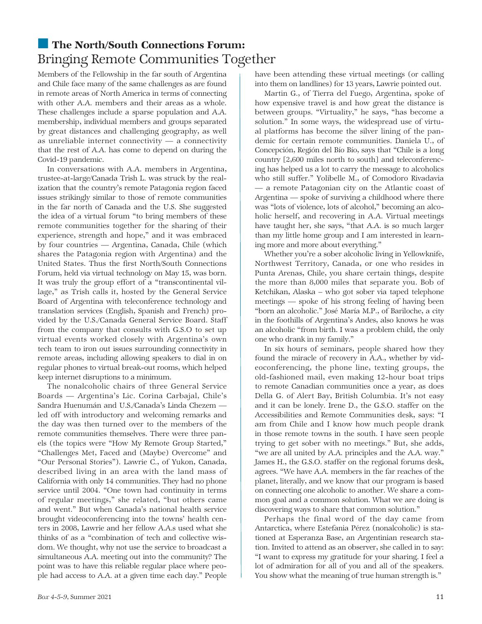## ■ The North/South Connections Forum: Bringing Remote Communities Together

Members of the Fellowship in the far south of Argentina and Chile face many of the same challenges as are found in remote areas of North America in terms of connecting with other A.A. members and their areas as a whole. These challenges include a sparse population and A.A. membership, individual members and groups separated by great distances and challenging geography, as well as unreliable internet connectivity  $-$  a connectivity that the rest of A.A. has come to depend on during the Covid-19 pandemic.

In conversations with A.A. members in Argentina, trustee-at-large/Canada Trish L. was struck by the realization that the country's remote Patagonia region faced issues strikingly similar to those of remote communities in the far north of Canada and the U.S. She suggested the idea of a virtual forum "to bring members of these remote communities together for the sharing of their experience, strength and hope," and it was embraced by four countries — Argentina, Canada, Chile (which shares the Patagonia region with Argentina) and the United States. Thus the first North/South Connections Forum, held via virtual technology on May 15, was born. It was truly the group effort of a "transcontinental village," as Trish calls it, hosted by the General Service Board of Argentina with teleconference technology and translation services (English, Spanish and French) provided by the U.S./Canada General Service Board. Staff from the company that consults with G.S.O to set up virtual events worked closely with Argentina's own tech team to iron out issues surrounding connectivity in remote areas, including allowing speakers to dial in on regular phones to virtual break-out rooms, which helped keep internet disruptions to a minimum.

The nonalcoholic chairs of three General Service Boards — Argentina's Lic. Corina Carbajal*,* Chile's Sandra Huenumán and U.S./Canada's Linda Chezem led off with introductory and welcoming remarks and the day was then turned over to the members of the remote communities themselves. There were three panels (the topics were "How My Remote Group Started," "Challenges Met, Faced and (Maybe) Overcome" and "Our Personal Stories"). Lawrie C., of Yukon, Canada, described living in an area with the land mass of California with only 14 communities. They had no phone service until 2004. "One town had continuity in terms of regular meetings," she related, "but others came and went." But when Canada's national health service brought videoconferencing into the towns' health centers in 2008, Lawrie and her fellow A.A.s used what she thinks of as a "combination of tech and collective wisdom. We thought, why not use the service to broadcast a simultaneous A.A. meeting out into the community? The point was to have this reliable regular place where people had access to A.A. at a given time each day." People

have been attending these virtual meetings (or calling into them on landlines) for 13 years, Lawrie pointed out.

Martin G., of Tierra del Fuego, Argentina, spoke of how expensive travel is and how great the distance is between groups. "Virtuality," he says, "has become a solution." In some ways, the widespread use of virtual platforms has become the silver lining of the pandemic for certain remote communities. Daniela U., of Concepción, Región del Bío Bío, says that "Chile is a long country [2,600 miles north to south] and teleconferencing has helped us a lot to carry the message to alcoholics who still suffer." Yolibelle M., of Comodoro Rivadavia — a remote Patagonian city on the Atlantic coast of Argentina — spoke of surviving a childhood where there was "lots of violence, lots of alcohol," becoming an alcoholic herself, and recovering in A.A. Virtual meetings have taught her, she says, "that A.A. is so much larger than my little home group and I am interested in learning more and more about everything."

Whether you're a sober alcoholic living in Yellowknife, Northwest Territory, Canada, or one who resides in Punta Arenas, Chile, you share certain things, despite the more than 8,000 miles that separate you. Bob of Ketchikan, Alaska – who got sober via taped telephone meetings — spoke of his strong feeling of having been "born an alcoholic." José María M.P., of Bariloche, a city in the foothills of Argentina's Andes, also knows he was an alcoholic "from birth. I was a problem child, the only one who drank in my family."

In six hours of seminars, people shared how they found the miracle of recovery in A.A., whether by videoconferencing, the phone line, texting groups, the old-fashioned mail, even making 12-hour boat trips to remote Canadian communities once a year, as does Della G. of Alert Bay, British Columbia. It's not easy and it can be lonely. Irene D., the G.S.O. staffer on the Accessibilities and Remote Communities desk, says: "I am from Chile and I know how much people drank in those remote towns in the south. I have seen people trying to get sober with no meetings." But, she adds, "we are all united by A.A. principles and the A.A. way." James H., the G.S.O. staffer on the regional forums desk, agrees. "We have A.A. members in the far reaches of the planet, literally, and we know that our program is based on connecting one alcoholic to another. We share a common goal and a common solution. What we are doing is discovering ways to share that common solution."

Perhaps the final word of the day came from Antarctica, where Estefania Pérez (nonalcoholic) is stationed at Esperanza Base, an Argentinian research station. Invited to attend as an observer, she called in to say: "I want to express my gratitude for your sharing. I feel a lot of admiration for all of you and all of the speakers. You show what the meaning of true human strength is."